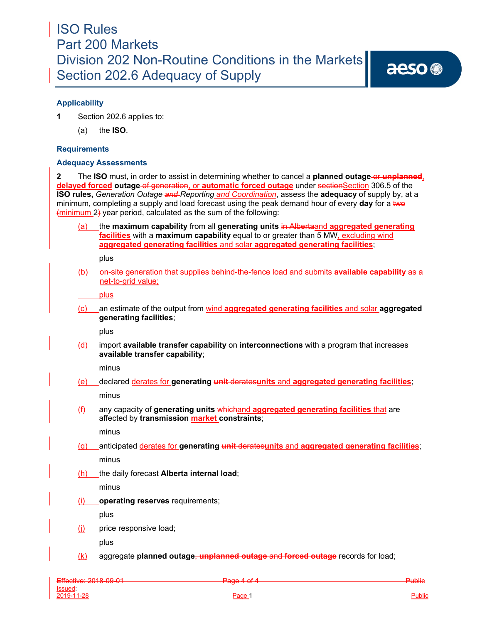## ISO Rules Part 200 Markets Division 202 Non-Routine Conditions in the Markets Section 202.6 Adequacy of Supply

## **Applicability**

**1** Section 202.6 applies to:

(a) the **ISO**.

### **Requirements**

### **Adequacy Assessments**

**2** The **ISO** must, in order to assist in determining whether to cancel a **planned outage-or unplanned**, **delayed forced outage of generation, or automatic forced outage** under sectionSection 306.5 of the **ISO rules,** *Generation Outage and Reporting and Coordination*, assess the **adequacy** of supply by, at a minimum, completing a supply and load forecast using the peak demand hour of every **day** for a two (minimum 2) year period, calculated as the sum of the following:

(a) the **maximum capability** from all **generating units** in Albertaand **aggregated generating facilities** with a **maximum capability** equal to or greater than 5 MW, excluding wind **aggregated generating facilities** and solar **aggregated generating facilities**;

plus

(b) on-site generation that supplies behind-the-fence load and submits **available capability** as a net-to-grid value;

plus

(c) an estimate of the output from wind **aggregated generating facilities** and solar **aggregated generating facilities**;

plus

(d) import **available transfer capability** on **interconnections** with a program that increases **available transfer capability**;

minus

(e) declared derates for **generating unit** derates**units** and **aggregated generating facilities**;

minus

(f) any capacity of **generating units** whichand **aggregated generating facilities** that are affected by **transmission market constraints**;

minus

(g) anticipated derates for **generating unit** derates**units** and **aggregated generating facilities**; minus

(h) the daily forecast **Alberta internal load**;

minus

(i) **operating reserves** requirements;

plus

(j) price responsive load;

plus

(k) aggregate **planned outage**, **unplanned outage** and **forced outage** records for load;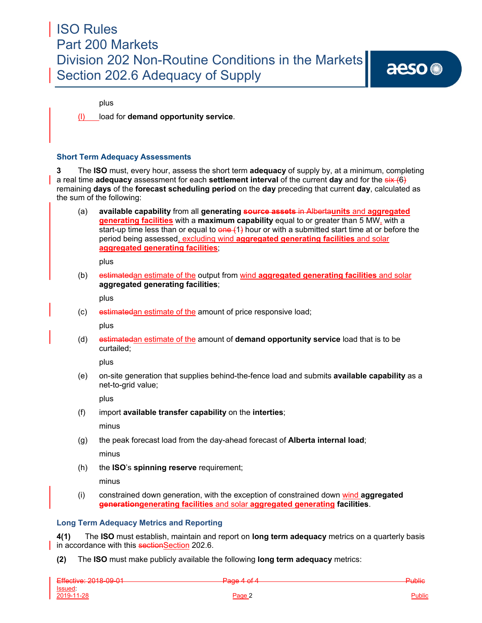# ISO Rules Part 200 Markets Division 202 Non-Routine Conditions in the Markets Section 202.6 Adequacy of Supply

plus

(l) load for **demand opportunity service**.

### **Short Term Adequacy Assessments**

**3** The **ISO** must, every hour, assess the short term **adequacy** of supply by, at a minimum, completing a real time **adequacy** assessment for each **settlement interval** of the current **day** and for the six (6) remaining **days** of the **forecast scheduling period** on the **day** preceding that current **day**, calculated as the sum of the following:

(a) **available capability** from all **generating source assets** in Alberta**units** and **aggregated generating facilities** with a **maximum capability** equal to or greater than 5 MW, with a start-up time less than or equal to  $\theta$  one  $(1)$  hour or with a submitted start time at or before the period being assessed, excluding wind **aggregated generating facilities** and solar **aggregated generating facilities**;

plus

(b) estimatedan estimate of the output from wind **aggregated generating facilities** and solar **aggregated generating facilities**;

plus

(c) estimatedan estimate of the amount of price responsive load;

plus

(d) estimatedan estimate of the amount of **demand opportunity service** load that is to be curtailed;

plus

(e) on-site generation that supplies behind-the-fence load and submits **available capability** as a net-to-grid value;

plus

(f) import **available transfer capability** on the **interties**;

minus

- (g) the peak forecast load from the day-ahead forecast of **Alberta internal load**; minus
- (h) the **ISO**'s **spinning reserve** requirement;

minus

(i) constrained down generation, with the exception of constrained down wind **aggregated generationgenerating facilities** and solar **aggregated generating facilities**.

## **Long Term Adequacy Metrics and Reporting**

**4(1)** The **ISO** must establish, maintain and report on **long term adequacy** metrics on a quarterly basis in accordance with this sectionSection 202.6.

**(2)** The **ISO** must make publicly available the following **long term adequacy** metrics:

| Effective: 2018 00:01         | $Proof A of A$          | <b>Public</b> |
|-------------------------------|-------------------------|---------------|
| <del>LHCUNG. 2010 00 01</del> | <del>1 000 1 01 1</del> |               |
| Issued:                       |                         |               |
| 2019-11-28                    | Page .                  | <u>Public</u> |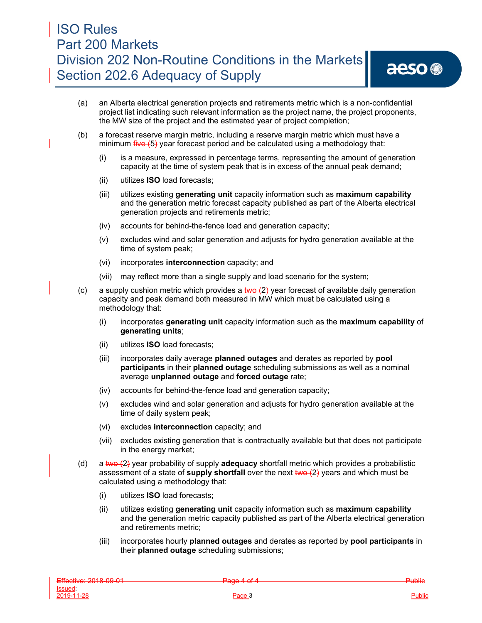- (a) an Alberta electrical generation projects and retirements metric which is a non-confidential project list indicating such relevant information as the project name, the project proponents, the MW size of the project and the estimated year of project completion;
- (b) a forecast reserve margin metric, including a reserve margin metric which must have a minimum  $\frac{f^2}{f^2}$  year forecast period and be calculated using a methodology that:
	- (i) is a measure, expressed in percentage terms, representing the amount of generation capacity at the time of system peak that is in excess of the annual peak demand;
	- (ii) utilizes **ISO** load forecasts;
	- (iii) utilizes existing **generating unit** capacity information such as **maximum capability**  and the generation metric forecast capacity published as part of the Alberta electrical generation projects and retirements metric;
	- (iv) accounts for behind-the-fence load and generation capacity;
	- (v) excludes wind and solar generation and adjusts for hydro generation available at the time of system peak;
	- (vi) incorporates **interconnection** capacity; and
	- (vii) may reflect more than a single supply and load scenario for the system;
- (c) a supply cushion metric which provides a  $\frac{1}{2}$  year forecast of available daily generation capacity and peak demand both measured in MW which must be calculated using a methodology that:
	- (i) incorporates **generating unit** capacity information such as the **maximum capability** of **generating units**;
	- (ii) utilizes **ISO** load forecasts;
	- (iii) incorporates daily average **planned outages** and derates as reported by **pool participants** in their **planned outage** scheduling submissions as well as a nominal average **unplanned outage** and **forced outage** rate;
	- (iv) accounts for behind-the-fence load and generation capacity;
	- (v) excludes wind and solar generation and adjusts for hydro generation available at the time of daily system peak;
	- (vi) excludes **interconnection** capacity; and
	- (vii) excludes existing generation that is contractually available but that does not participate in the energy market;
- (d) a two (2) year probability of supply **adequacy** shortfall metric which provides a probabilistic assessment of a state of **supply shortfall** over the next two (2) years and which must be calculated using a methodology that:
	- (i) utilizes **ISO** load forecasts;
	- (ii) utilizes existing **generating unit** capacity information such as **maximum capability**  and the generation metric capacity published as part of the Alberta electrical generation and retirements metric;
	- (iii) incorporates hourly **planned outages** and derates as reported by **pool participants** in their **planned outage** scheduling submissions;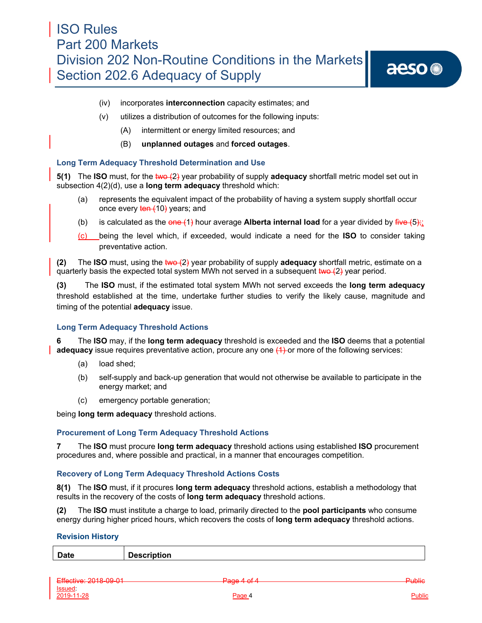# aeso<sup>®</sup>

- (iv) incorporates **interconnection** capacity estimates; and
- (v) utilizes a distribution of outcomes for the following inputs:
	- (A) intermittent or energy limited resources; and
	- (B) **unplanned outages** and **forced outages**.

### **Long Term Adequacy Threshold Determination and Use**

**5(1)** The **ISO** must, for the two  $(2)$  year probability of supply **adequacy** shortfall metric model set out in subsection 4(2)(d), use a **long term adequacy** threshold which:

- (a) represents the equivalent impact of the probability of having a system supply shortfall occur once every ten (10) years; and
- (b) is calculated as the  $\theta$ **ne** (1) hour average **Alberta internal load** for a year divided by  $\frac{f}{f}$ **i**  $\theta$
- (c) being the level which, if exceeded, would indicate a need for the **ISO** to consider taking preventative action.

**(2)** The **ISO** must, using the two (2) year probability of supply **adequacy** shortfall metric, estimate on a quarterly basis the expected total system MWh not served in a subsequent  $two (2)$  year period.

**(3)** The **ISO** must, if the estimated total system MWh not served exceeds the **long term adequacy**  threshold established at the time, undertake further studies to verify the likely cause, magnitude and timing of the potential **adequacy** issue.

### **Long Term Adequacy Threshold Actions**

**6** The **ISO** may, if the **long term adequacy** threshold is exceeded and the **ISO** deems that a potential **adequacy** issue requires preventative action, procure any one (4) or more of the following services:

- (a) load shed;
- (b) self-supply and back-up generation that would not otherwise be available to participate in the energy market; and
- (c) emergency portable generation;

being **long term adequacy** threshold actions.

### **Procurement of Long Term Adequacy Threshold Actions**

**7** The **ISO** must procure **long term adequacy** threshold actions using established **ISO** procurement procedures and, where possible and practical, in a manner that encourages competition.

### **Recovery of Long Term Adequacy Threshold Actions Costs**

**8(1)** The **ISO** must, if it procures **long term adequacy** threshold actions, establish a methodology that results in the recovery of the costs of **long term adequacy** threshold actions.

**(2)** The **ISO** must institute a charge to load, primarily directed to the **pool participants** who consume energy during higher priced hours, which recovers the costs of **long term adequacy** threshold actions.

### **Revision History**

| Date | $D - - -$<br>$-1$ $-1$ $-1$<br>tion<br><b>DESPI</b> |
|------|-----------------------------------------------------|
|      |                                                     |

| $Eff}_0$ $\sim$ 2018 00 01<br>$-$ <b>INVARIAL AVIOLUTE</b> | $Proof A of A$<br>T uyu T UIT | <del>Public</del> |
|------------------------------------------------------------|-------------------------------|-------------------|
| <u>Issued</u>                                              |                               |                   |
| 2019-11-28                                                 | Page 4                        | <u>Public</u>     |